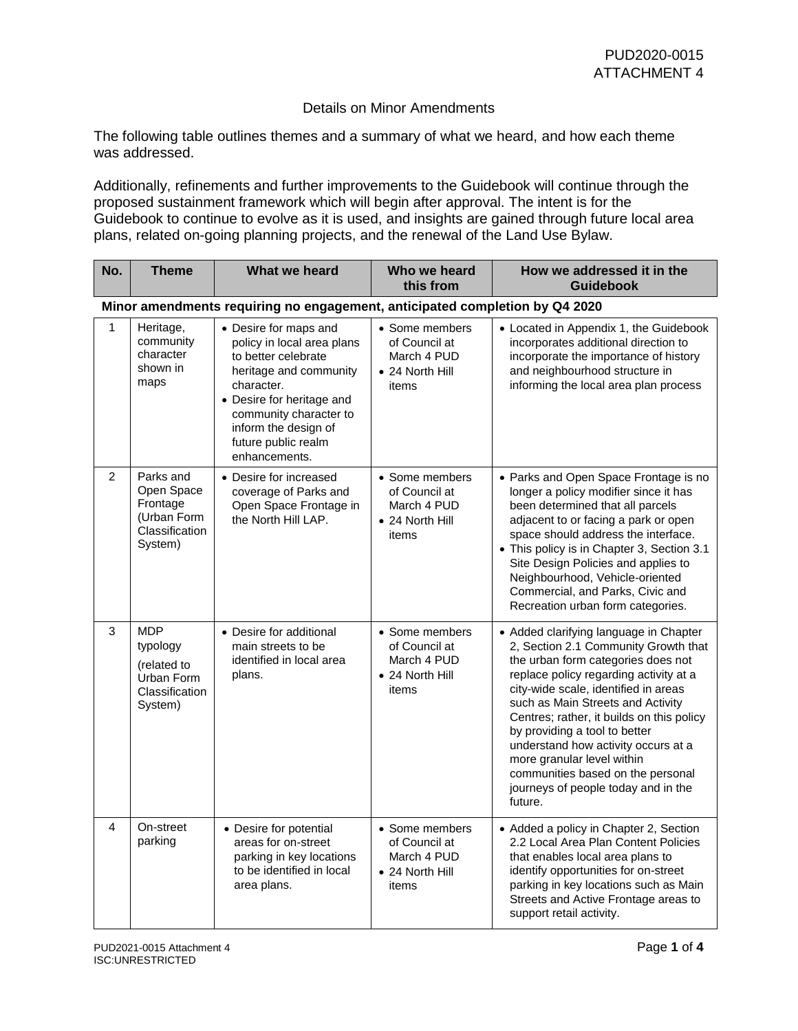## Details on Minor Amendments

The following table outlines themes and a summary of what we heard, and how each theme was addressed.

Additionally, refinements and further improvements to the Guidebook will continue through the proposed sustainment framework which will begin after approval. The intent is for the Guidebook to continue to evolve as it is used, and insights are gained through future local area plans, related on-going planning projects, and the renewal of the Land Use Bylaw.

| No.            | <b>Theme</b>                                                                     | What we heard                                                                                                                                                                                                                             | Who we heard<br>this from                                                  | How we addressed it in the<br><b>Guidebook</b>                                                                                                                                                                                                                                                                                                                                                                                                                                        |
|----------------|----------------------------------------------------------------------------------|-------------------------------------------------------------------------------------------------------------------------------------------------------------------------------------------------------------------------------------------|----------------------------------------------------------------------------|---------------------------------------------------------------------------------------------------------------------------------------------------------------------------------------------------------------------------------------------------------------------------------------------------------------------------------------------------------------------------------------------------------------------------------------------------------------------------------------|
|                |                                                                                  | Minor amendments requiring no engagement, anticipated completion by Q4 2020                                                                                                                                                               |                                                                            |                                                                                                                                                                                                                                                                                                                                                                                                                                                                                       |
| 1              | Heritage,<br>community<br>character<br>shown in<br>maps                          | • Desire for maps and<br>policy in local area plans<br>to better celebrate<br>heritage and community<br>character.<br>• Desire for heritage and<br>community character to<br>inform the design of<br>future public realm<br>enhancements. | • Some members<br>of Council at<br>March 4 PUD<br>• 24 North Hill<br>items | • Located in Appendix 1, the Guidebook<br>incorporates additional direction to<br>incorporate the importance of history<br>and neighbourhood structure in<br>informing the local area plan process                                                                                                                                                                                                                                                                                    |
| $\overline{2}$ | Parks and<br>Open Space<br>Frontage<br>(Urban Form<br>Classification<br>System)  | • Desire for increased<br>coverage of Parks and<br>Open Space Frontage in<br>the North Hill LAP.                                                                                                                                          | • Some members<br>of Council at<br>March 4 PUD<br>• 24 North Hill<br>items | • Parks and Open Space Frontage is no<br>longer a policy modifier since it has<br>been determined that all parcels<br>adjacent to or facing a park or open<br>space should address the interface.<br>• This policy is in Chapter 3, Section 3.1<br>Site Design Policies and applies to<br>Neighbourhood, Vehicle-oriented<br>Commercial, and Parks, Civic and<br>Recreation urban form categories.                                                                                    |
| 3              | <b>MDP</b><br>typology<br>(related to<br>Urban Form<br>Classification<br>System) | • Desire for additional<br>main streets to be<br>identified in local area<br>plans.                                                                                                                                                       | • Some members<br>of Council at<br>March 4 PUD<br>• 24 North Hill<br>items | • Added clarifying language in Chapter<br>2, Section 2.1 Community Growth that<br>the urban form categories does not<br>replace policy regarding activity at a<br>city-wide scale, identified in areas<br>such as Main Streets and Activity<br>Centres; rather, it builds on this policy<br>by providing a tool to better<br>understand how activity occurs at a<br>more granular level within<br>communities based on the personal<br>journeys of people today and in the<br>future. |
| 4              | On-street<br>parking                                                             | • Desire for potential<br>areas for on-street<br>parking in key locations<br>to be identified in local<br>area plans.                                                                                                                     | • Some members<br>of Council at<br>March 4 PUD<br>• 24 North Hill<br>items | • Added a policy in Chapter 2, Section<br>2.2 Local Area Plan Content Policies<br>that enables local area plans to<br>identify opportunities for on-street<br>parking in key locations such as Main<br>Streets and Active Frontage areas to<br>support retail activity.                                                                                                                                                                                                               |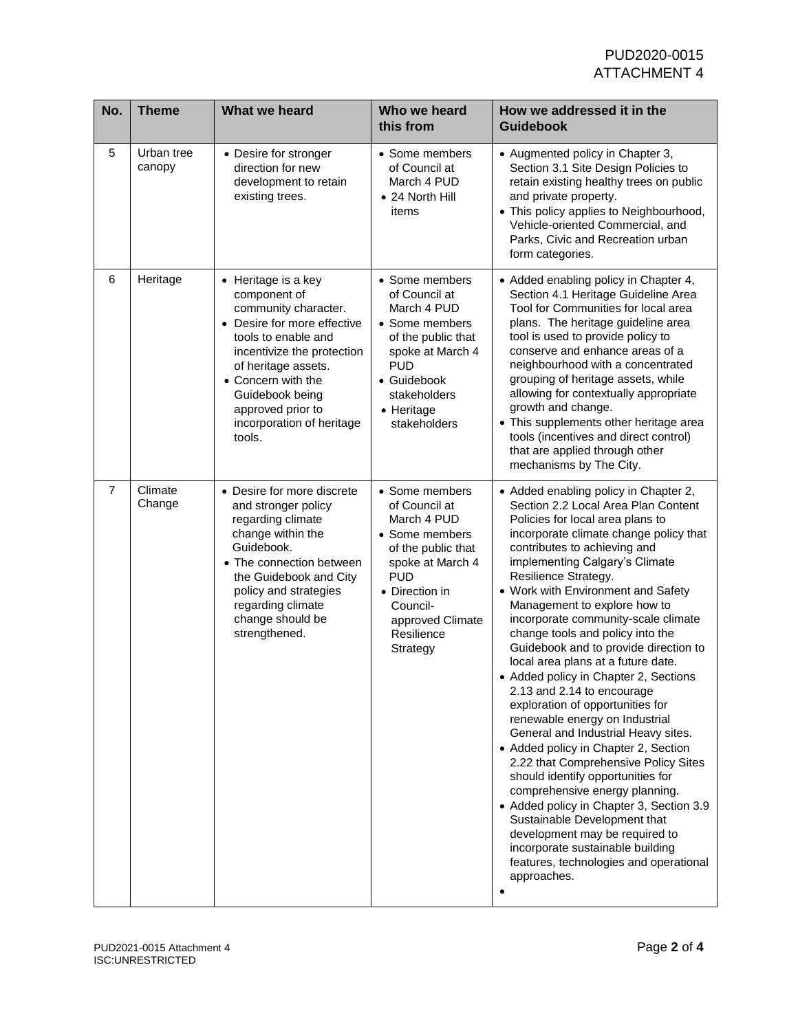| No.            | <b>Theme</b>         | What we heard                                                                                                                                                                                                                                                                          | Who we heard<br>this from                                                                                                                                                                            | How we addressed it in the<br><b>Guidebook</b>                                                                                                                                                                                                                                                                                                                                                                                                                                                                                                                                                                                                                                                                                                                                                                                                                                                                                                                                                                                             |
|----------------|----------------------|----------------------------------------------------------------------------------------------------------------------------------------------------------------------------------------------------------------------------------------------------------------------------------------|------------------------------------------------------------------------------------------------------------------------------------------------------------------------------------------------------|--------------------------------------------------------------------------------------------------------------------------------------------------------------------------------------------------------------------------------------------------------------------------------------------------------------------------------------------------------------------------------------------------------------------------------------------------------------------------------------------------------------------------------------------------------------------------------------------------------------------------------------------------------------------------------------------------------------------------------------------------------------------------------------------------------------------------------------------------------------------------------------------------------------------------------------------------------------------------------------------------------------------------------------------|
| 5              | Urban tree<br>canopy | • Desire for stronger<br>direction for new<br>development to retain<br>existing trees.                                                                                                                                                                                                 | • Some members<br>of Council at<br>March 4 PUD<br>• 24 North Hill<br>items                                                                                                                           | • Augmented policy in Chapter 3,<br>Section 3.1 Site Design Policies to<br>retain existing healthy trees on public<br>and private property.<br>• This policy applies to Neighbourhood,<br>Vehicle-oriented Commercial, and<br>Parks, Civic and Recreation urban<br>form categories.                                                                                                                                                                                                                                                                                                                                                                                                                                                                                                                                                                                                                                                                                                                                                        |
| 6              | Heritage             | • Heritage is a key<br>component of<br>community character.<br>Desire for more effective<br>$\bullet$<br>tools to enable and<br>incentivize the protection<br>of heritage assets.<br>• Concern with the<br>Guidebook being<br>approved prior to<br>incorporation of heritage<br>tools. | • Some members<br>of Council at<br>March 4 PUD<br>• Some members<br>of the public that<br>spoke at March 4<br><b>PUD</b><br>• Guidebook<br>stakeholders<br>• Heritage<br>stakeholders                | • Added enabling policy in Chapter 4,<br>Section 4.1 Heritage Guideline Area<br>Tool for Communities for local area<br>plans. The heritage guideline area<br>tool is used to provide policy to<br>conserve and enhance areas of a<br>neighbourhood with a concentrated<br>grouping of heritage assets, while<br>allowing for contextually appropriate<br>growth and change.<br>• This supplements other heritage area<br>tools (incentives and direct control)<br>that are applied through other<br>mechanisms by The City.                                                                                                                                                                                                                                                                                                                                                                                                                                                                                                                |
| $\overline{7}$ | Climate<br>Change    | • Desire for more discrete<br>and stronger policy<br>regarding climate<br>change within the<br>Guidebook.<br>• The connection between<br>the Guidebook and City<br>policy and strategies<br>regarding climate<br>change should be<br>strengthened.                                     | • Some members<br>of Council at<br>March 4 PUD<br>• Some members<br>of the public that<br>spoke at March 4<br><b>PUD</b><br>• Direction in<br>Council-<br>approved Climate<br>Resilience<br>Strategy | • Added enabling policy in Chapter 2,<br>Section 2.2 Local Area Plan Content<br>Policies for local area plans to<br>incorporate climate change policy that<br>contributes to achieving and<br>implementing Calgary's Climate<br>Resilience Strategy.<br>• Work with Environment and Safety<br>Management to explore how to<br>incorporate community-scale climate<br>change tools and policy into the<br>Guidebook and to provide direction to<br>local area plans at a future date.<br>• Added policy in Chapter 2, Sections<br>2.13 and 2.14 to encourage<br>exploration of opportunities for<br>renewable energy on Industrial<br>General and Industrial Heavy sites.<br>• Added policy in Chapter 2, Section<br>2.22 that Comprehensive Policy Sites<br>should identify opportunities for<br>comprehensive energy planning.<br>• Added policy in Chapter 3, Section 3.9<br>Sustainable Development that<br>development may be required to<br>incorporate sustainable building<br>features, technologies and operational<br>approaches. |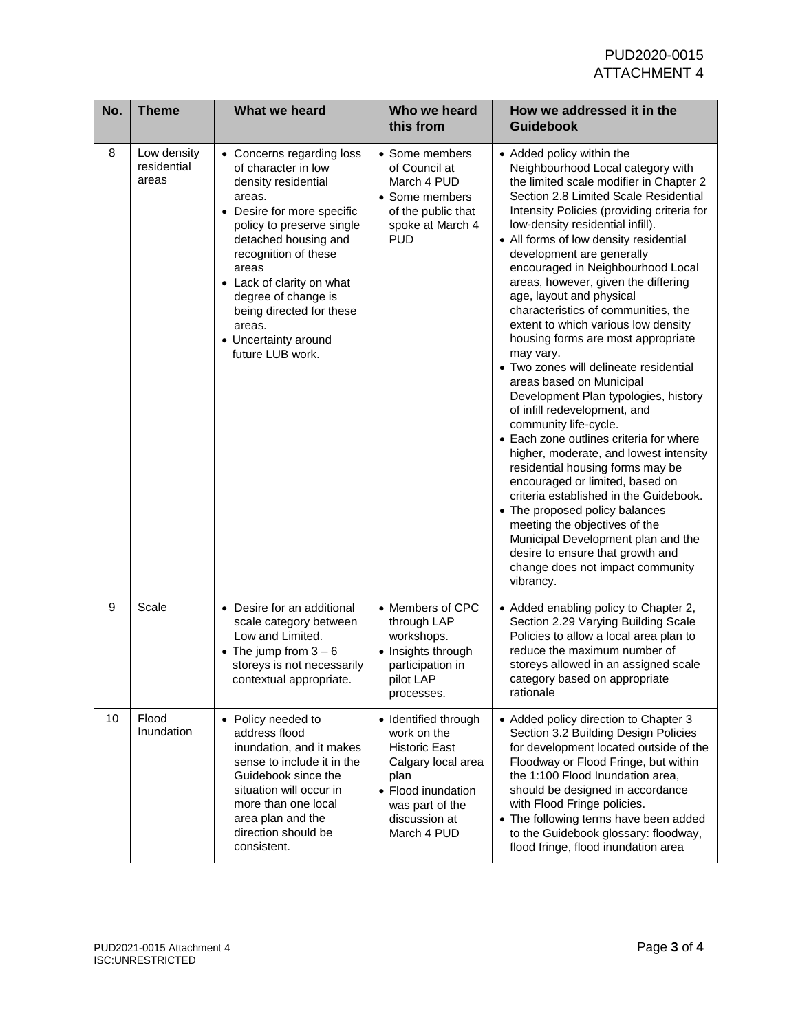| No. | <b>Theme</b>                        | What we heard                                                                                                                                                                                                                                                                                                                               | Who we heard<br>this from                                                                                                                                          | How we addressed it in the<br><b>Guidebook</b>                                                                                                                                                                                                                                                                                                                                                                                                                                                                                                                                                                                                                                                                                                                                                                                                                                                                                                                                                                                                                                                                                  |
|-----|-------------------------------------|---------------------------------------------------------------------------------------------------------------------------------------------------------------------------------------------------------------------------------------------------------------------------------------------------------------------------------------------|--------------------------------------------------------------------------------------------------------------------------------------------------------------------|---------------------------------------------------------------------------------------------------------------------------------------------------------------------------------------------------------------------------------------------------------------------------------------------------------------------------------------------------------------------------------------------------------------------------------------------------------------------------------------------------------------------------------------------------------------------------------------------------------------------------------------------------------------------------------------------------------------------------------------------------------------------------------------------------------------------------------------------------------------------------------------------------------------------------------------------------------------------------------------------------------------------------------------------------------------------------------------------------------------------------------|
| 8   | Low density<br>residential<br>areas | • Concerns regarding loss<br>of character in low<br>density residential<br>areas.<br>• Desire for more specific<br>policy to preserve single<br>detached housing and<br>recognition of these<br>areas<br>• Lack of clarity on what<br>degree of change is<br>being directed for these<br>areas.<br>• Uncertainty around<br>future LUB work. | • Some members<br>of Council at<br>March 4 PUD<br>• Some members<br>of the public that<br>spoke at March 4<br><b>PUD</b>                                           | • Added policy within the<br>Neighbourhood Local category with<br>the limited scale modifier in Chapter 2<br>Section 2.8 Limited Scale Residential<br>Intensity Policies (providing criteria for<br>low-density residential infill).<br>• All forms of low density residential<br>development are generally<br>encouraged in Neighbourhood Local<br>areas, however, given the differing<br>age, layout and physical<br>characteristics of communities, the<br>extent to which various low density<br>housing forms are most appropriate<br>may vary.<br>• Two zones will delineate residential<br>areas based on Municipal<br>Development Plan typologies, history<br>of infill redevelopment, and<br>community life-cycle.<br>• Each zone outlines criteria for where<br>higher, moderate, and lowest intensity<br>residential housing forms may be<br>encouraged or limited, based on<br>criteria established in the Guidebook.<br>• The proposed policy balances<br>meeting the objectives of the<br>Municipal Development plan and the<br>desire to ensure that growth and<br>change does not impact community<br>vibrancy. |
| 9   | Scale                               | • Desire for an additional<br>scale category between<br>Low and Limited.<br>• The jump from $3-6$<br>storeys is not necessarily<br>contextual appropriate.                                                                                                                                                                                  | • Members of CPC<br>through LAP<br>workshops.<br>• Insights through<br>participation in<br>pilot LAP<br>processes.                                                 | • Added enabling policy to Chapter 2,<br>Section 2.29 Varying Building Scale<br>Policies to allow a local area plan to<br>reduce the maximum number of<br>storeys allowed in an assigned scale<br>category based on appropriate<br>rationale                                                                                                                                                                                                                                                                                                                                                                                                                                                                                                                                                                                                                                                                                                                                                                                                                                                                                    |
| 10  | Flood<br>Inundation                 | • Policy needed to<br>address flood<br>inundation, and it makes<br>sense to include it in the<br>Guidebook since the<br>situation will occur in<br>more than one local<br>area plan and the<br>direction should be<br>consistent.                                                                                                           | • Identified through<br>work on the<br><b>Historic East</b><br>Calgary local area<br>plan<br>• Flood inundation<br>was part of the<br>discussion at<br>March 4 PUD | • Added policy direction to Chapter 3<br>Section 3.2 Building Design Policies<br>for development located outside of the<br>Floodway or Flood Fringe, but within<br>the 1:100 Flood Inundation area,<br>should be designed in accordance<br>with Flood Fringe policies.<br>• The following terms have been added<br>to the Guidebook glossary: floodway,<br>flood fringe, flood inundation area                                                                                                                                                                                                                                                                                                                                                                                                                                                                                                                                                                                                                                                                                                                                  |